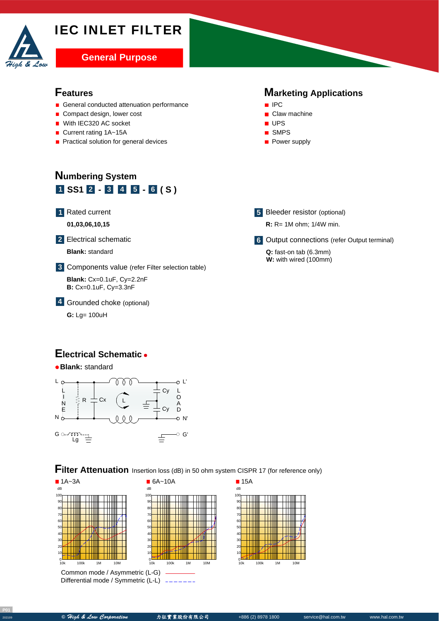# IEC INLET FILTER



#### **Features**

- General conducted attenuation performance
- Compact design, lower cost
- With IEC320 AC socket
- Current rating 1A~15A
- **Practical solution for general devices**

#### **Marketing Applications**



- **UPS**
- SMPS
- **Power supply**

## **Numbering System**  $1$  **SS1**  $2 - 3$  **4 5**  $- 6$  (**S**)

**1** Rated current

A **01,03,06,10,15**

**2** Electrical schematic

A **Blank:** standard

Components value (refer Filter selection table) **3**

**Blank:** Cx=0.1uF, Cy=2.2nF **B:** Cx=0.1uF, Cy=3.3nF

Grounded choke (optional) **4**

**G:** Lg= 100uH

#### **Electrical Schematic**



**Filter Attenuation** Insertion loss (dB) in 50 ohm system CISPR 17 (for reference only)



Common mode / Asymmetric (L-G) Differential mode / Symmetric (L-L)

| - -                |      |    |     |
|--------------------|------|----|-----|
| dB                 |      |    |     |
| 100                |      |    |     |
| 90                 |      |    |     |
| 80                 |      |    |     |
| 70                 |      |    |     |
| 60                 |      |    |     |
| 50                 |      |    |     |
| 40                 |      |    |     |
| 30                 |      |    |     |
| 20                 |      |    |     |
| 10                 |      |    |     |
| O                  |      |    |     |
| 10k                | 100k | 1M | 10M |
| $\mathbf{u}$<br>-G |      |    |     |



**5** Bleeder resistor (optional)

**R:** R= 1M ohm; 1/4W min.

**6** Output connections (refer Output terminal)

**Q:** fast-on tab (6.3mm) **W:** with wired (100mm)